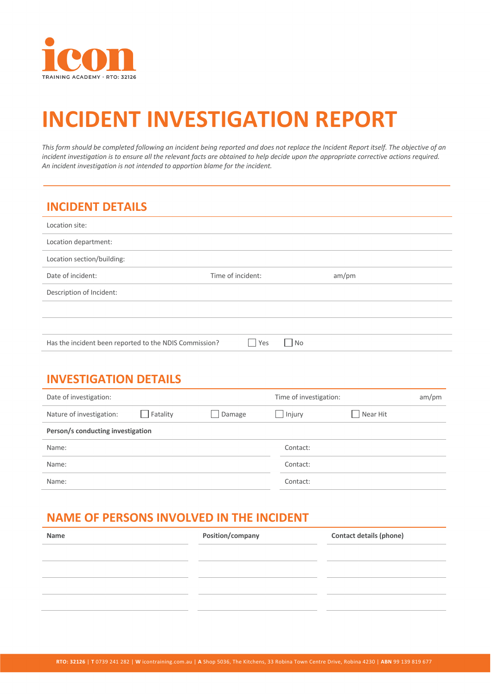

# **INCIDENT INVESTIGATION REPORT**

This form should be completed following an incident being reported and does not replace the Incident Report itself. The objective of an *incident investigation is to ensure all the relevant facts are obtained to help decide upon the appropriate corrective actions required. An incident investigation is not intended to apportion blame for the incident.*

## **INCIDENT DETAILS**

| Location site:                                         |                                    |       |  |
|--------------------------------------------------------|------------------------------------|-------|--|
| Location department:                                   |                                    |       |  |
| Location section/building:                             |                                    |       |  |
| Date of incident:                                      | Time of incident:                  | am/pm |  |
| Description of Incident:                               |                                    |       |  |
|                                                        |                                    |       |  |
|                                                        |                                    |       |  |
| Has the incident been reported to the NDIS Commission? | $\overline{\phantom{a}}$ No<br>Yes |       |  |

## **INVESTIGATION DETAILS**

| Date of investigation:            |          |        | Time of investigation: |          | am/pm |
|-----------------------------------|----------|--------|------------------------|----------|-------|
| Nature of investigation:          | Fatality | Damage | lnjury                 | Near Hit |       |
| Person/s conducting investigation |          |        |                        |          |       |
| Name:                             |          |        | Contact:               |          |       |
| Name:                             |          |        | Contact:               |          |       |
| Name:                             |          |        | Contact:               |          |       |

## **NAME OF PERSONS INVOLVED IN THE INCIDENT**

| Name | Position/company | <b>Contact details (phone)</b> |
|------|------------------|--------------------------------|
|      |                  |                                |
|      |                  |                                |
|      |                  |                                |
|      |                  |                                |
|      |                  |                                |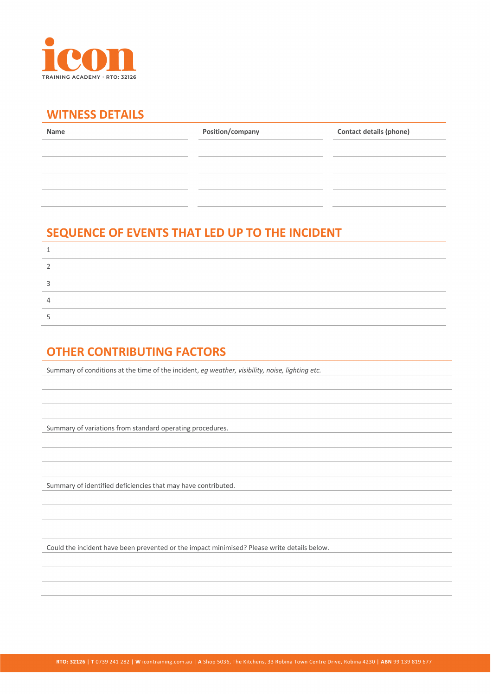

#### **WITNESS DETAILS**

| Name | Position/company | <b>Contact details (phone)</b> |
|------|------------------|--------------------------------|
|      |                  |                                |
|      |                  |                                |
|      |                  |                                |
|      |                  |                                |
|      |                  |                                |

## **SEQUENCE OF EVENTS THAT LED UP TO THE INCIDENT**

## **OTHER CONTRIBUTING FACTORS**

Summary of conditions at the time of the incident, *eg weather, visibility, noise, lighting etc.*

Summary of variations from standard operating procedures.

Summary of identified deficiencies that may have contributed.

Could the incident have been prevented or the impact minimised? Please write details below.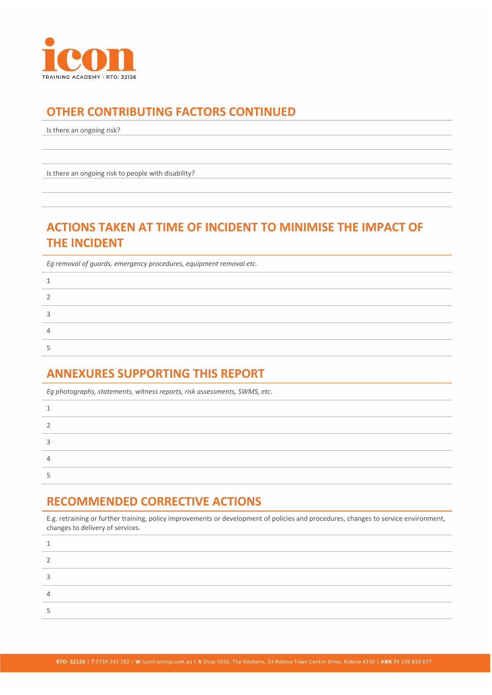

## **OTHER CONTRIBUTING FACTORS CONTINUED**

Is there an ongoing risk?

Is there an ongoing risk to people with disability?

## **ACTIONS TAKEN AT TIME OF INCIDENT TO MINIMISE THE IMPACT OF THE INCIDENT**

*Eg removal of guards, emergency procedures, equipment removal etc.*

#### **ANNEXURES SUPPORTING THIS REPORT**

*Eg photographs, statements, witness reports, risk assessments, SWMS, etc.* 1 2 3 4 5

### **RECOMMENDED CORRECTIVE ACTIONS**

E.g. retraining or further training, policy improvements or development of policies and procedures, changes to service environment, changes to delivery of services.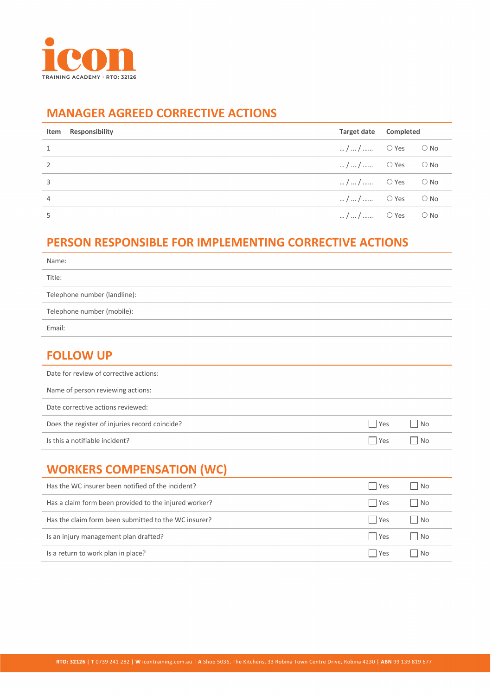

### **MANAGER AGREED CORRECTIVE ACTIONS**

|   | Item Responsibility | Target date                 | Completed |  |
|---|---------------------|-----------------------------|-----------|--|
|   |                     | $//$ O Yes O No             |           |  |
| 2 |                     | $//$ O Yes O No             |           |  |
| 3 |                     | $//$ O Yes O No             |           |  |
| 4 |                     | $//$ O Yes O No             |           |  |
|   |                     | $//$ $\circ$ Yes $\circ$ No |           |  |

## **PERSON RESPONSIBLE FOR IMPLEMENTING CORRECTIVE ACTIONS**

| Name:                        |
|------------------------------|
| Title:                       |
| Telephone number (landline): |
| Telephone number (mobile):   |
| Email:                       |

#### **FOLLOW UP**

| $\sqrt{1 + \text{Yes}}$ | No   |
|-------------------------|------|
| l Yes                   | l No |
|                         |      |

# **WORKERS COMPENSATION (WC)**

| Has the WC insurer been notified of the incident?     | l Yes | l No        |
|-------------------------------------------------------|-------|-------------|
| Has a claim form been provided to the injured worker? | l Yes | No          |
| Has the claim form been submitted to the WC insurer?  | l Yes | l No        |
| Is an injury management plan drafted?                 | l Yes | No          |
| Is a return to work plan in place?                    | l Yes | $\cdot$ INO |